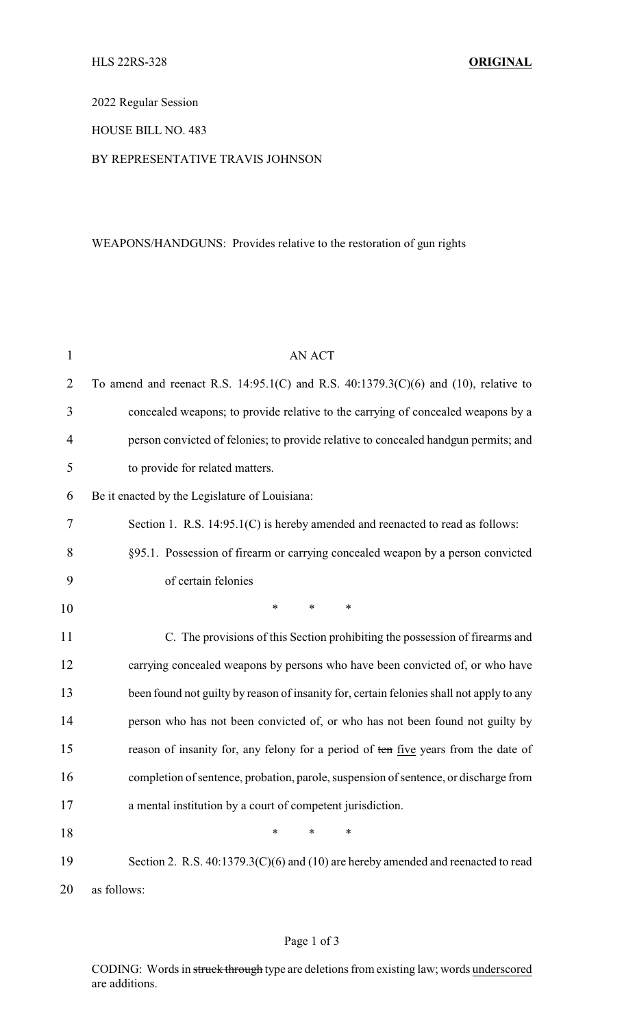2022 Regular Session

### HOUSE BILL NO. 483

#### BY REPRESENTATIVE TRAVIS JOHNSON

# WEAPONS/HANDGUNS: Provides relative to the restoration of gun rights

| 1              | <b>AN ACT</b>                                                                            |
|----------------|------------------------------------------------------------------------------------------|
| $\overline{2}$ | To amend and reenact R.S. 14:95.1(C) and R.S. 40:1379.3(C)(6) and (10), relative to      |
| 3              | concealed weapons; to provide relative to the carrying of concealed weapons by a         |
| $\overline{4}$ | person convicted of felonies; to provide relative to concealed handgun permits; and      |
| 5              | to provide for related matters.                                                          |
| 6              | Be it enacted by the Legislature of Louisiana:                                           |
| 7              | Section 1. R.S. 14:95.1(C) is hereby amended and reenacted to read as follows:           |
| 8              | §95.1. Possession of firearm or carrying concealed weapon by a person convicted          |
| 9              | of certain felonies                                                                      |
| 10             | *<br>$\ast$<br>*                                                                         |
| 11             | C. The provisions of this Section prohibiting the possession of firearms and             |
| 12             | carrying concealed weapons by persons who have been convicted of, or who have            |
| 13             | been found not guilty by reason of insanity for, certain felonies shall not apply to any |
| 14             | person who has not been convicted of, or who has not been found not guilty by            |
| 15             | reason of insanity for, any felony for a period of ten five years from the date of       |
| 16             | completion of sentence, probation, parole, suspension of sentence, or discharge from     |
| 17             | a mental institution by a court of competent jurisdiction.                               |
| 18             | *<br>*<br>∗                                                                              |
| 19             | Section 2. R.S. 40:1379.3(C)(6) and (10) are hereby amended and reenacted to read        |
| 20             | as follows:                                                                              |

# Page 1 of 3

CODING: Words in struck through type are deletions from existing law; words underscored are additions.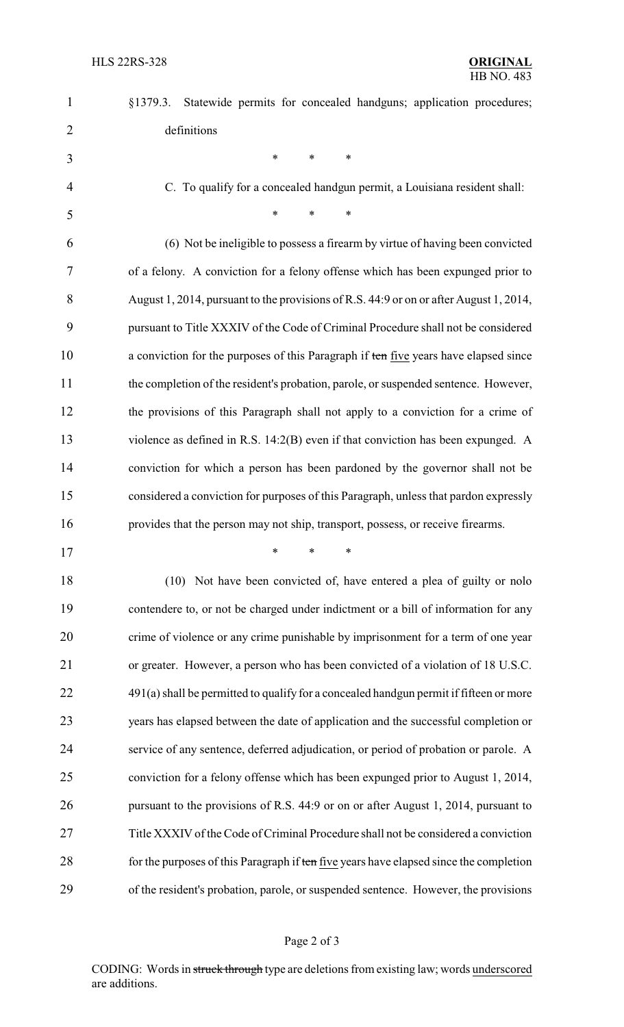|             |  |  |  |  | §1379.3. Statewide permits for concealed handguns; application procedures; |
|-------------|--|--|--|--|----------------------------------------------------------------------------|
| definitions |  |  |  |  |                                                                            |

C. To qualify for a concealed handgun permit, a Louisiana resident shall:

| 5 <sup>5</sup> | $*$ $*$ $*$ |  |
|----------------|-------------|--|
|                |             |  |

\* \* \*

 (6) Not be ineligible to possess a firearm by virtue of having been convicted of a felony. A conviction for a felony offense which has been expunged prior to August 1, 2014, pursuant to the provisions of R.S. 44:9 or on or after August 1, 2014, pursuant to Title XXXIV of the Code of Criminal Procedure shall not be considered 10 a conviction for the purposes of this Paragraph if ten five years have elapsed since the completion of the resident's probation, parole, or suspended sentence. However, the provisions of this Paragraph shall not apply to a conviction for a crime of violence as defined in R.S. 14:2(B) even if that conviction has been expunged. A conviction for which a person has been pardoned by the governor shall not be considered a conviction for purposes of this Paragraph, unless that pardon expressly provides that the person may not ship, transport, possess, or receive firearms.

\* \* \*

18 (10) Not have been convicted of, have entered a plea of guilty or nolo contendere to, or not be charged under indictment or a bill of information for any crime of violence or any crime punishable by imprisonment for a term of one year or greater. However, a person who has been convicted of a violation of 18 U.S.C. 22 491(a) shall be permitted to qualify for a concealed handgun permit if fifteen or more years has elapsed between the date of application and the successful completion or service of any sentence, deferred adjudication, or period of probation or parole. A conviction for a felony offense which has been expunged prior to August 1, 2014, pursuant to the provisions of R.S. 44:9 or on or after August 1, 2014, pursuant to Title XXXIV of the Code of Criminal Procedure shall not be considered a conviction 28 for the purposes of this Paragraph if ten five years have elapsed since the completion of the resident's probation, parole, or suspended sentence. However, the provisions

CODING: Words in struck through type are deletions from existing law; words underscored are additions.